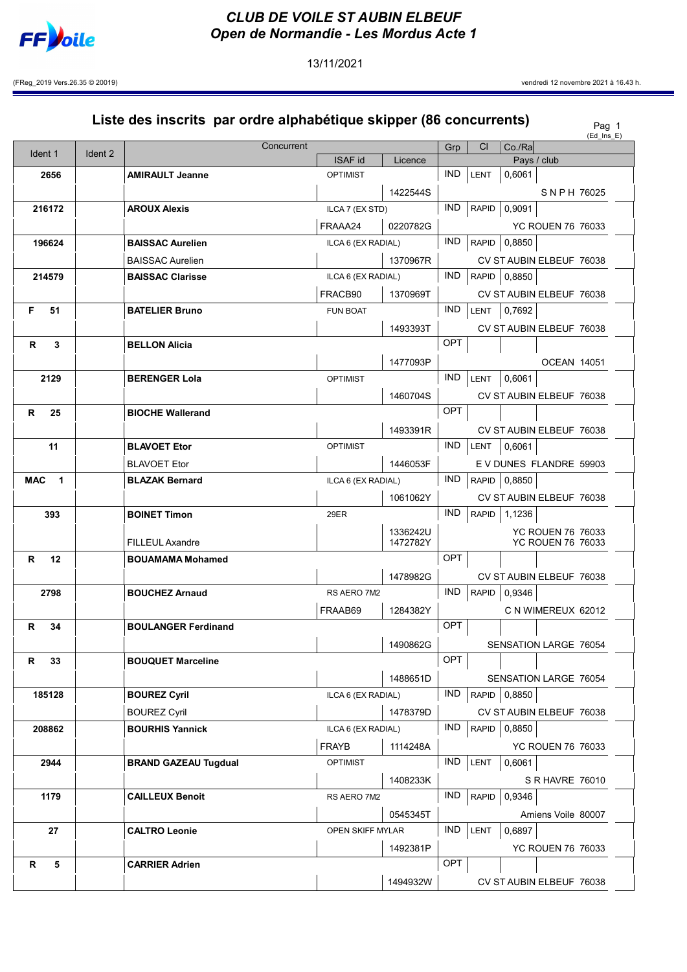

13/11/2021

(FReg\_2019 Vers.26.35 © 20019) vendredi 12 novembre 2021 à 16.43 h.

|            |        |         | Liste des inscrits par ordre alphabétique skipper (86 concurrents) |                    |                      |            |              |              |                                                      | Pag 1<br>$(Ed_{\nI}$ Ins $_E)$ |
|------------|--------|---------|--------------------------------------------------------------------|--------------------|----------------------|------------|--------------|--------------|------------------------------------------------------|--------------------------------|
|            |        |         | Concurrent                                                         |                    |                      | Grp        | <b>CI</b>    | Co./Ra       |                                                      |                                |
| Ident 1    |        | Ident 2 |                                                                    | <b>ISAF id</b>     | Licence              |            |              |              | Pays / club                                          |                                |
|            | 2656   |         | <b>AMIRAULT Jeanne</b>                                             | <b>OPTIMIST</b>    |                      | <b>IND</b> | LENT         | 0.6061       |                                                      |                                |
|            |        |         |                                                                    |                    | 1422544S             |            |              |              | SNPH 76025                                           |                                |
|            | 216172 |         | <b>AROUX Alexis</b>                                                | ILCA 7 (EX STD)    |                      | <b>IND</b> | <b>RAPID</b> | 0,9091       |                                                      |                                |
|            |        |         |                                                                    | FRAAA24            | 0220782G             |            |              |              | <b>YC ROUEN 76 76033</b>                             |                                |
|            | 196624 |         | <b>BAISSAC Aurelien</b>                                            | ILCA 6 (EX RADIAL) |                      | <b>IND</b> | <b>RAPID</b> | 0.8850       |                                                      |                                |
|            |        |         | <b>BAISSAC Aurelien</b>                                            |                    | 1370967R             |            |              |              | CV ST AUBIN ELBEUF 76038                             |                                |
|            | 214579 |         | <b>BAISSAC Clarisse</b>                                            | ILCA 6 (EX RADIAL) |                      | IND.       |              | RAPID 0,8850 |                                                      |                                |
|            |        |         |                                                                    | FRACB90            | 1370969T             |            |              |              | CV ST AUBIN ELBEUF 76038                             |                                |
| F.         | 51     |         | <b>BATELIER Bruno</b>                                              | <b>FUN BOAT</b>    |                      | <b>IND</b> | LENT         | 0,7692       |                                                      |                                |
|            |        |         |                                                                    |                    | 1493393T             |            |              |              | CV ST AUBIN ELBEUF 76038                             |                                |
| R          | 3      |         | <b>BELLON Alicia</b>                                               |                    |                      | OPT        |              |              |                                                      |                                |
|            |        |         |                                                                    |                    | 1477093P             |            |              |              | <b>OCEAN 14051</b>                                   |                                |
|            | 2129   |         | <b>BERENGER Lola</b>                                               | <b>OPTIMIST</b>    |                      | <b>IND</b> | LENT         | 0,6061       |                                                      |                                |
|            |        |         |                                                                    |                    | 1460704S             |            |              |              | CV ST AUBIN ELBEUF 76038                             |                                |
| R          | 25     |         | <b>BIOCHE Wallerand</b>                                            |                    |                      | OPT        |              |              |                                                      |                                |
|            |        |         |                                                                    |                    | 1493391R             |            |              |              | CV ST AUBIN ELBEUF 76038                             |                                |
|            | 11     |         | <b>BLAVOET Etor</b>                                                | <b>OPTIMIST</b>    |                      | <b>IND</b> | LENT         | 0,6061       |                                                      |                                |
|            |        |         | <b>BLAVOET Etor</b>                                                |                    | 1446053F             |            |              |              | E V DUNES FLANDRE 59903                              |                                |
| <b>MAC</b> | 1      |         | <b>BLAZAK Bernard</b>                                              | ILCA 6 (EX RADIAL) |                      | IND.       | <b>RAPID</b> | 0,8850       |                                                      |                                |
|            |        |         |                                                                    |                    | 1061062Y             |            |              |              | CV ST AUBIN ELBEUF 76038                             |                                |
|            | 393    |         | <b>BOINET Timon</b>                                                | 29ER               |                      | <b>IND</b> | RAPID        | 1,1236       |                                                      |                                |
|            |        |         |                                                                    |                    |                      |            |              |              |                                                      |                                |
|            |        |         | <b>FILLEUL Axandre</b>                                             |                    | 1336242U<br>1472782Y |            |              |              | <b>YC ROUEN 76 76033</b><br><b>YC ROUEN 76 76033</b> |                                |
| R.         | 12     |         | <b>BOUAMAMA Mohamed</b>                                            |                    |                      | OPT        |              |              |                                                      |                                |
|            |        |         |                                                                    |                    | 1478982G             |            |              |              | CV ST AUBIN ELBEUF 76038                             |                                |
|            | 2798   |         | <b>BOUCHEZ Arnaud</b>                                              | RS AERO 7M2        |                      | IND.       | RAPID        | 0,9346       |                                                      |                                |
|            |        |         |                                                                    | FRAAB69            | 1284382Y             |            |              |              | C N WIMEREUX 62012                                   |                                |
| R          | 34     |         | <b>BOULANGER Ferdinand</b>                                         |                    |                      | OPT        |              |              |                                                      |                                |
|            |        |         |                                                                    |                    | 1490862G             |            |              |              | <b>SENSATION LARGE 76054</b>                         |                                |
| R          | 33     |         | <b>BOUQUET Marceline</b>                                           |                    |                      | OPT        |              |              |                                                      |                                |
|            |        |         |                                                                    |                    | 1488651D             |            |              |              | SENSATION LARGE 76054                                |                                |
|            | 185128 |         | <b>BOUREZ Cyril</b>                                                | ILCA 6 (EX RADIAL) |                      | IND.       | RAPID        | 0,8850       |                                                      |                                |
|            |        |         | <b>BOUREZ Cyril</b>                                                |                    | 1478379D             |            |              |              | CV ST AUBIN ELBEUF 76038                             |                                |
|            | 208862 |         | <b>BOURHIS Yannick</b>                                             | ILCA 6 (EX RADIAL) |                      | IND.       |              | RAPID 0,8850 |                                                      |                                |
|            |        |         |                                                                    | <b>FRAYB</b>       | 1114248A             |            |              |              | <b>YC ROUEN 76 76033</b>                             |                                |
|            | 2944   |         |                                                                    | <b>OPTIMIST</b>    |                      | <b>IND</b> | LENT         | 0,6061       |                                                      |                                |
|            |        |         | <b>BRAND GAZEAU Tugdual</b>                                        |                    |                      |            |              |              |                                                      |                                |
|            |        |         |                                                                    |                    | 1408233K             | IND.       |              |              | S R HAVRE 76010                                      |                                |
|            | 1179   |         | <b>CAILLEUX Benoit</b>                                             | RS AERO 7M2        |                      |            | RAPID        | 0,9346       |                                                      |                                |
|            |        |         |                                                                    |                    | 0545345T             |            |              |              | Amiens Voile 80007                                   |                                |
|            | 27     |         | <b>CALTRO Leonie</b>                                               | OPEN SKIFF MYLAR   |                      | <b>IND</b> | LENT         | 0,6897       |                                                      |                                |
|            |        |         |                                                                    |                    | 1492381P             |            |              |              | YC ROUEN 76 76033                                    |                                |
| R          | 5      |         | <b>CARRIER Adrien</b>                                              |                    |                      | OPT        |              |              |                                                      |                                |
|            |        |         |                                                                    |                    | 1494932W             |            |              |              | CV ST AUBIN ELBEUF 76038                             |                                |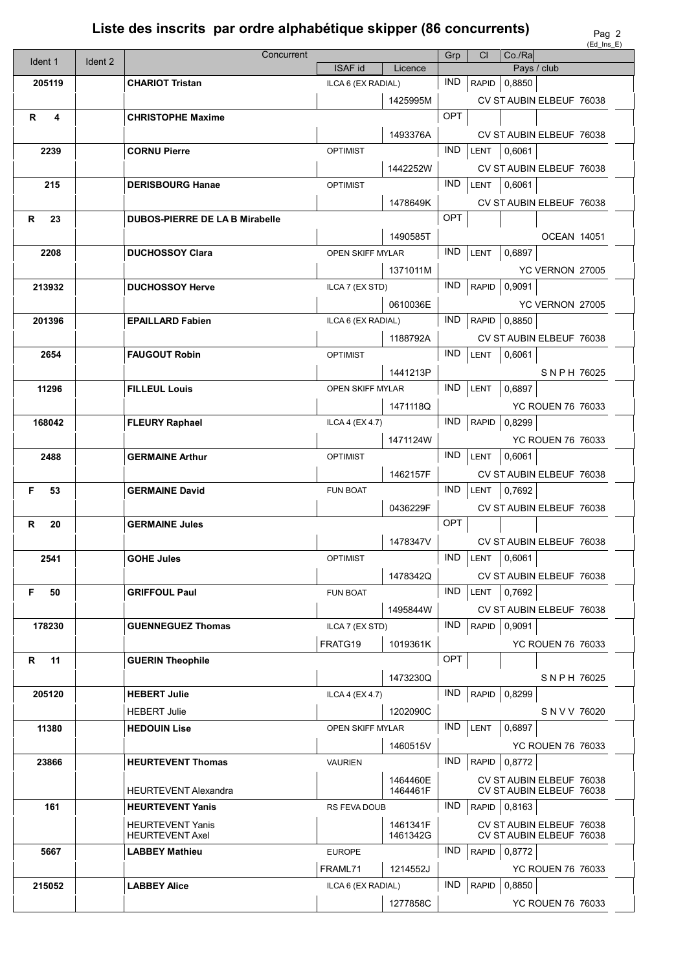## Liste des inscrits par ordre alphabétique skipper (86 concurrents)

|          |         | Concurrent                                        |                    |                      | Grp        | CI.          | $Co.$ / $Ra$ |                                                      | נם בוח שם, |
|----------|---------|---------------------------------------------------|--------------------|----------------------|------------|--------------|--------------|------------------------------------------------------|------------|
| Ident 1  | Ident 2 |                                                   | <b>ISAF id</b>     | Licence              |            |              |              | Pays / club                                          |            |
| 205119   |         | <b>CHARIOT Tristan</b>                            | ILCA 6 (EX RADIAL) |                      | <b>IND</b> |              | RAPID 0,8850 |                                                      |            |
|          |         |                                                   |                    | 1425995M             |            |              |              | CV ST AUBIN ELBEUF 76038                             |            |
| R<br>4   |         | <b>CHRISTOPHE Maxime</b>                          |                    |                      | OPT        |              |              |                                                      |            |
|          |         |                                                   |                    | 1493376A             |            |              |              | CV ST AUBIN ELBEUF 76038                             |            |
| 2239     |         | <b>CORNU Pierre</b>                               | <b>OPTIMIST</b>    |                      | <b>IND</b> | <b>LENT</b>  | 0,6061       |                                                      |            |
|          |         |                                                   |                    | 1442252W             |            |              |              | CV ST AUBIN ELBEUF 76038                             |            |
| 215      |         | <b>DERISBOURG Hanae</b>                           | <b>OPTIMIST</b>    |                      | <b>IND</b> | <b>LENT</b>  | 0,6061       |                                                      |            |
|          |         |                                                   |                    | 1478649K             |            |              |              | CV ST AUBIN ELBEUF 76038                             |            |
| 23<br>R  |         | <b>DUBOS-PIERRE DE LA B Mirabelle</b>             |                    |                      | OPT        |              |              |                                                      |            |
|          |         |                                                   |                    | 1490585T             |            |              |              | <b>OCEAN 14051</b>                                   |            |
| 2208     |         | <b>DUCHOSSOY Clara</b>                            | OPEN SKIFF MYLAR   |                      | <b>IND</b> | LENT         | 0,6897       |                                                      |            |
|          |         |                                                   |                    | 1371011M             |            |              |              | YC VERNON 27005                                      |            |
| 213932   |         | <b>DUCHOSSOY Herve</b>                            | ILCA 7 (EX STD)    |                      | <b>IND</b> | RAPID        | 0,9091       |                                                      |            |
|          |         |                                                   |                    | 0610036E             |            |              |              | YC VERNON 27005                                      |            |
| 201396   |         | <b>EPAILLARD Fabien</b>                           | ILCA 6 (EX RADIAL) |                      | <b>IND</b> | RAPID        | 0,8850       |                                                      |            |
|          |         |                                                   |                    | 1188792A             |            |              |              | CV ST AUBIN ELBEUF 76038                             |            |
| 2654     |         | <b>FAUGOUT Robin</b>                              | <b>OPTIMIST</b>    |                      | <b>IND</b> | LENT         | 0,6061       |                                                      |            |
|          |         |                                                   |                    | 1441213P             |            |              |              | SNPH 76025                                           |            |
| 11296    |         | <b>FILLEUL Louis</b>                              | OPEN SKIFF MYLAR   |                      | <b>IND</b> | LENT         | 0,6897       |                                                      |            |
|          |         |                                                   |                    | 1471118Q             |            |              |              | <b>YC ROUEN 76 76033</b>                             |            |
| 168042   |         | <b>FLEURY Raphael</b>                             | ILCA 4 (EX 4.7)    |                      | <b>IND</b> | <b>RAPID</b> | 0,8299       |                                                      |            |
|          |         |                                                   |                    |                      |            |              |              |                                                      |            |
| 2488     |         |                                                   | <b>OPTIMIST</b>    | 1471124W             | <b>IND</b> |              |              | <b>YC ROUEN 76 76033</b>                             |            |
|          |         | <b>GERMAINE Arthur</b>                            |                    |                      |            | LENT         | 0,6061       |                                                      |            |
|          |         |                                                   |                    | 1462157F             | <b>IND</b> |              |              | CV ST AUBIN ELBEUF 76038                             |            |
| F<br>53  |         | <b>GERMAINE David</b>                             | <b>FUN BOAT</b>    |                      |            | <b>LENT</b>  | 0,7692       |                                                      |            |
|          |         |                                                   |                    | 0436229F             |            |              |              | CV ST AUBIN ELBEUF 76038                             |            |
| R<br>20  |         | <b>GERMAINE Jules</b>                             |                    |                      | OPT        |              |              |                                                      |            |
|          |         |                                                   |                    | 1478347V             |            |              |              | CV ST AUBIN ELBEUF 76038                             |            |
| 2541     |         | <b>GOHE Jules</b>                                 | <b>OPTIMIST</b>    |                      | <b>IND</b> | <b>LENT</b>  | 0,6061       |                                                      |            |
|          |         |                                                   |                    | 1478342Q             |            |              |              | CV ST AUBIN ELBEUF 76038                             |            |
| F.<br>50 |         | <b>GRIFFOUL Paul</b>                              | <b>FUN BOAT</b>    |                      | <b>IND</b> | LENT         | 0,7692       |                                                      |            |
|          |         |                                                   |                    | 1495844W             |            |              |              | CV ST AUBIN ELBEUF 76038                             |            |
| 178230   |         | <b>GUENNEGUEZ Thomas</b>                          | ILCA 7 (EX STD)    |                      | <b>IND</b> | <b>RAPID</b> | 0,9091       |                                                      |            |
|          |         |                                                   | FRATG19            | 1019361K             |            |              |              | <b>YC ROUEN 76 76033</b>                             |            |
| 11<br>R  |         | <b>GUERIN Theophile</b>                           |                    |                      | OPT        |              |              |                                                      |            |
|          |         |                                                   |                    | 1473230Q             |            |              |              | SNPH 76025                                           |            |
| 205120   |         | <b>HEBERT Julie</b>                               | ILCA 4 (EX 4.7)    |                      | IND.       | <b>RAPID</b> | 0,8299       |                                                      |            |
|          |         | <b>HEBERT Julie</b>                               |                    | 1202090C             |            |              |              | S N V V 76020                                        |            |
| 11380    |         | <b>HEDOUIN Lise</b>                               | OPEN SKIFF MYLAR   |                      | <b>IND</b> | LENT         | 0,6897       |                                                      |            |
|          |         |                                                   |                    | 1460515V             |            |              |              | <b>YC ROUEN 76 76033</b>                             |            |
| 23866    |         | <b>HEURTEVENT Thomas</b>                          | <b>VAURIEN</b>     |                      | IND.       | RAPID        | 0,8772       |                                                      |            |
|          |         | <b>HEURTEVENT Alexandra</b>                       |                    | 1464460E<br>1464461F |            |              |              | CV ST AUBIN ELBEUF 76038<br>CV ST AUBIN ELBEUF 76038 |            |
| 161      |         | <b>HEURTEVENT Yanis</b>                           | RS FEVA DOUB       |                      | IND.       |              | RAPID 0,8163 |                                                      |            |
|          |         |                                                   |                    |                      |            |              |              |                                                      |            |
|          |         | <b>HEURTEVENT Yanis</b><br><b>HEURTEVENT Axel</b> |                    | 1461341F<br>1461342G |            |              |              | CV ST AUBIN ELBEUF 76038<br>CV ST AUBIN ELBEUF 76038 |            |
| 5667     |         | <b>LABBEY Mathieu</b>                             | <b>EUROPE</b>      |                      | IND.       | RAPID        | 0,8772       |                                                      |            |
|          |         |                                                   | FRAML71            | 1214552J             |            |              |              | YC ROUEN 76 76033                                    |            |
| 215052   |         | <b>LABBEY Alice</b>                               | ILCA 6 (EX RADIAL) |                      | <b>IND</b> | <b>RAPID</b> | 0,8850       |                                                      |            |
|          |         |                                                   |                    | 1277858C             |            |              |              | YC ROUEN 76 76033                                    |            |
|          |         |                                                   |                    |                      |            |              |              |                                                      |            |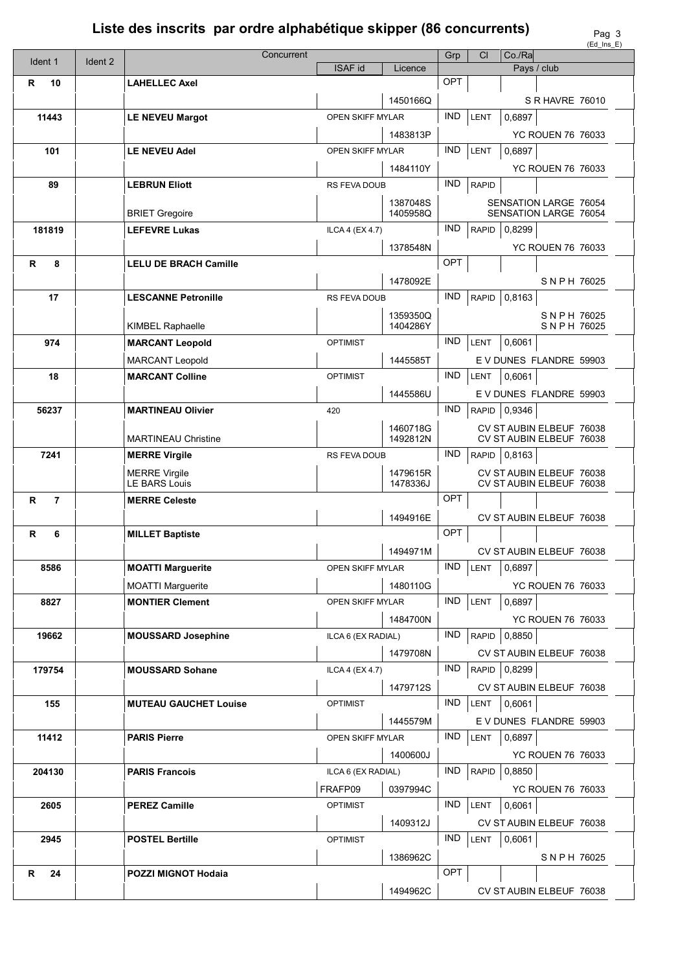## Liste des inscrits par ordre alphabétique skipper (86 concurrents)

|                     |         |                              |                         |                      |            |              |                |                                                      | $(Ed_{1}$ ms_E) |
|---------------------|---------|------------------------------|-------------------------|----------------------|------------|--------------|----------------|------------------------------------------------------|-----------------|
| Ident 1             | Ident 2 | Concurrent                   |                         |                      | Grp        | <b>CI</b>    | Co/Ra          |                                                      |                 |
|                     |         |                              | <b>ISAF id</b>          | Licence              |            |              |                | Pays / club                                          |                 |
| R<br>10             |         | <b>LAHELLEC Axel</b>         |                         |                      | OPT        |              |                |                                                      |                 |
|                     |         |                              |                         | 1450166Q             |            |              |                | S R HAVRE 76010                                      |                 |
| 11443               |         | <b>LE NEVEU Margot</b>       | <b>OPEN SKIFF MYLAR</b> |                      | <b>IND</b> | LENT         | 0,6897         |                                                      |                 |
|                     |         |                              |                         | 1483813P             |            |              |                | YC ROUEN 76 76033                                    |                 |
|                     |         |                              |                         |                      | <b>IND</b> |              |                |                                                      |                 |
| 101                 |         | <b>LE NEVEU Adel</b>         | OPEN SKIFF MYLAR        |                      |            | LENT         | 0,6897         |                                                      |                 |
|                     |         |                              |                         | 1484110Y             |            |              |                | <b>YC ROUEN 76 76033</b>                             |                 |
| 89                  |         | <b>LEBRUN Eliott</b>         | RS FEVA DOUB            |                      | <b>IND</b> | <b>RAPID</b> |                |                                                      |                 |
|                     |         |                              |                         | 1387048S             |            |              |                | <b>SENSATION LARGE 76054</b>                         |                 |
|                     |         | <b>BRIET Gregoire</b>        |                         | 1405958Q             |            |              |                | SENSATION LARGE 76054                                |                 |
| 181819              |         | <b>LEFEVRE Lukas</b>         | ILCA 4 (EX 4.7)         |                      | <b>IND</b> | <b>RAPID</b> | 0,8299         |                                                      |                 |
|                     |         |                              |                         |                      |            |              |                |                                                      |                 |
|                     |         |                              |                         | 1378548N             |            |              |                | <b>YC ROUEN 76 76033</b>                             |                 |
| R<br>8              |         | <b>LELU DE BRACH Camille</b> |                         |                      | OPT        |              |                |                                                      |                 |
|                     |         |                              |                         | 1478092E             |            |              |                | SNPH 76025                                           |                 |
| 17                  |         | <b>LESCANNE Petronille</b>   | RS FEVA DOUB            |                      | <b>IND</b> | <b>RAPID</b> | 0,8163         |                                                      |                 |
|                     |         |                              |                         | 1359350Q             |            |              |                |                                                      |                 |
|                     |         | <b>KIMBEL Raphaelle</b>      |                         | 1404286Y             |            |              |                | SNPH 76025<br>SNPH 76025                             |                 |
| 974                 |         | <b>MARCANT Leopold</b>       | <b>OPTIMIST</b>         |                      | <b>IND</b> | LENT         | 0,6061         |                                                      |                 |
|                     |         |                              |                         |                      |            |              |                |                                                      |                 |
|                     |         | <b>MARCANT Leopold</b>       |                         | 1445585T             |            |              |                | E V DUNES FLANDRE 59903                              |                 |
| 18                  |         | <b>MARCANT Colline</b>       | <b>OPTIMIST</b>         |                      | <b>IND</b> | LENT         | 0,6061         |                                                      |                 |
|                     |         |                              |                         | 1445586U             |            |              |                | E V DUNES FLANDRE 59903                              |                 |
| 56237               |         | <b>MARTINEAU Olivier</b>     | 420                     |                      | <b>IND</b> |              | RAPID   0,9346 |                                                      |                 |
|                     |         |                              |                         |                      |            |              |                |                                                      |                 |
|                     |         | <b>MARTINEAU Christine</b>   |                         | 1460718G<br>1492812N |            |              |                | CV ST AUBIN ELBEUF 76038<br>CV ST AUBIN ELBEUF 76038 |                 |
|                     |         |                              |                         |                      | <b>IND</b> |              |                |                                                      |                 |
| 7241                |         | <b>MERRE Virgile</b>         | RS FEVA DOUB            |                      |            | RAPID        | 0,8163         |                                                      |                 |
|                     |         | <b>MERRE Virgile</b>         |                         | 1479615R             |            |              |                | CV ST AUBIN ELBEUF 76038                             |                 |
|                     |         | <b>LE BARS Louis</b>         |                         | 1478336J             |            |              |                | CV ST AUBIN ELBEUF 76038                             |                 |
| $\overline{7}$<br>R |         | <b>MERRE Celeste</b>         |                         |                      | OPT        |              |                |                                                      |                 |
|                     |         |                              |                         | 1494916E             |            |              |                | CV ST AUBIN ELBEUF 76038                             |                 |
| R<br>6              |         | <b>MILLET Baptiste</b>       |                         |                      | OPT        |              |                |                                                      |                 |
|                     |         |                              |                         | 1494971M             |            |              |                | CV ST AUBIN ELBEUF 76038                             |                 |
|                     |         |                              |                         |                      |            |              |                |                                                      |                 |
| 8586                |         | <b>MOATTI Marguerite</b>     | OPEN SKIFF MYLAR        |                      | IND.       | LENT         | 0,6897         |                                                      |                 |
|                     |         | <b>MOATTI Marguerite</b>     |                         | 1480110G             |            |              |                | <b>YC ROUEN 76 76033</b>                             |                 |
| 8827                |         | <b>MONTIER Clement</b>       | OPEN SKIFF MYLAR        |                      | <b>IND</b> | LENT         | 0,6897         |                                                      |                 |
|                     |         |                              |                         | 1484700N             |            |              |                | <b>YC ROUEN 76 76033</b>                             |                 |
| 19662               |         | <b>MOUSSARD Josephine</b>    | ILCA 6 (EX RADIAL)      |                      | IND.       | <b>RAPID</b> | 0,8850         |                                                      |                 |
|                     |         |                              |                         |                      |            |              |                |                                                      |                 |
|                     |         |                              |                         | 1479708N             |            |              |                | CV ST AUBIN ELBEUF 76038                             |                 |
| 179754              |         | <b>MOUSSARD Sohane</b>       | ILCA 4 (EX 4.7)         |                      | IND.       |              | RAPID 0,8299   |                                                      |                 |
|                     |         |                              |                         | 1479712S             |            |              |                | CV ST AUBIN ELBEUF 76038                             |                 |
| 155                 |         | <b>MUTEAU GAUCHET Louise</b> | <b>OPTIMIST</b>         |                      | <b>IND</b> | LENT         | 0,6061         |                                                      |                 |
|                     |         |                              |                         |                      |            |              |                |                                                      |                 |
|                     |         |                              |                         | 1445579M             |            |              |                | E V DUNES FLANDRE 59903                              |                 |
| 11412               |         | <b>PARIS Pierre</b>          | OPEN SKIFF MYLAR        |                      | <b>IND</b> | LENT         | 0,6897         |                                                      |                 |
|                     |         |                              |                         | 1400600J             |            |              |                | <b>YC ROUEN 76 76033</b>                             |                 |
| 204130              |         | <b>PARIS Francois</b>        | ILCA 6 (EX RADIAL)      |                      | <b>IND</b> | <b>RAPID</b> | 0,8850         |                                                      |                 |
|                     |         |                              | FRAFP09                 | 0397994C             |            |              |                | YC ROUEN 76 76033                                    |                 |
|                     |         |                              |                         |                      |            |              |                |                                                      |                 |
| 2605                |         | <b>PEREZ Camille</b>         | <b>OPTIMIST</b>         |                      | <b>IND</b> | LENT         | 0,6061         |                                                      |                 |
|                     |         |                              |                         | 1409312J             |            |              |                | CV ST AUBIN ELBEUF 76038                             |                 |
| 2945                |         | <b>POSTEL Bertille</b>       | <b>OPTIMIST</b>         |                      | <b>IND</b> | LENT         | 0,6061         |                                                      |                 |
|                     |         |                              |                         | 1386962C             |            |              |                | SNPH 76025                                           |                 |
|                     |         |                              |                         |                      | OPT        |              |                |                                                      |                 |
| 24<br>R             |         | POZZI MIGNOT Hodaia          |                         |                      |            |              |                |                                                      |                 |
|                     |         |                              |                         | 1494962C             |            |              |                | CV ST AUBIN ELBEUF 76038                             |                 |